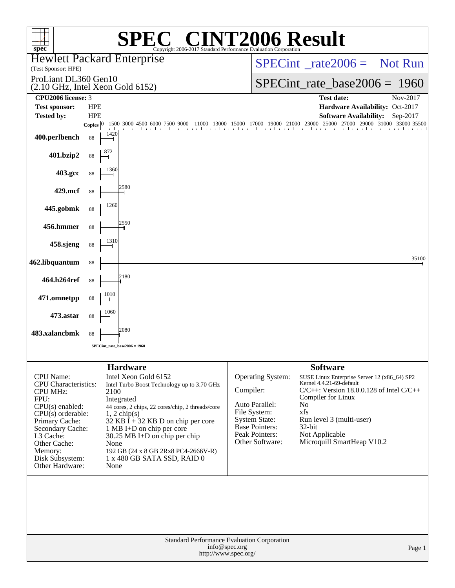| spec <sup>®</sup>                                                                                                                                                                                                                   | Copyright 2006-2017 Standard Performance Evaluation Corporation                                                                                                                                                                                                                                                                                             | <b>72006 Result</b>                                                                                                                             |                                                                                                                                                                                                                                                       |
|-------------------------------------------------------------------------------------------------------------------------------------------------------------------------------------------------------------------------------------|-------------------------------------------------------------------------------------------------------------------------------------------------------------------------------------------------------------------------------------------------------------------------------------------------------------------------------------------------------------|-------------------------------------------------------------------------------------------------------------------------------------------------|-------------------------------------------------------------------------------------------------------------------------------------------------------------------------------------------------------------------------------------------------------|
| (Test Sponsor: HPE)                                                                                                                                                                                                                 | <b>Hewlett Packard Enterprise</b>                                                                                                                                                                                                                                                                                                                           |                                                                                                                                                 | $SPECint^{\circ}$ rate $2006 =$ Not Run                                                                                                                                                                                                               |
| ProLiant DL360 Gen10                                                                                                                                                                                                                | (2.10 GHz, Intel Xeon Gold 6152)                                                                                                                                                                                                                                                                                                                            |                                                                                                                                                 | $SPECint_rate_base2006 = 1960$                                                                                                                                                                                                                        |
| CPU2006 license: 3                                                                                                                                                                                                                  |                                                                                                                                                                                                                                                                                                                                                             |                                                                                                                                                 | <b>Test date:</b><br>Nov-2017                                                                                                                                                                                                                         |
| <b>Test sponsor:</b><br><b>Tested by:</b>                                                                                                                                                                                           | <b>HPE</b><br><b>HPE</b>                                                                                                                                                                                                                                                                                                                                    |                                                                                                                                                 | Hardware Availability: Oct-2017<br><b>Software Availability:</b><br>Sep-2017                                                                                                                                                                          |
|                                                                                                                                                                                                                                     | 1500 3000 4500 6000 7500 9000<br>11000 13000<br><b>Copies</b>                                                                                                                                                                                                                                                                                               | 15000 17000 19000 21000 23000 250                                                                                                               | 25000<br>29000 31000 33000 35500<br>27000                                                                                                                                                                                                             |
| 400.perlbench                                                                                                                                                                                                                       | 1420<br>88                                                                                                                                                                                                                                                                                                                                                  |                                                                                                                                                 |                                                                                                                                                                                                                                                       |
| 401.bzip2                                                                                                                                                                                                                           | 88                                                                                                                                                                                                                                                                                                                                                          |                                                                                                                                                 |                                                                                                                                                                                                                                                       |
| 403.gcc                                                                                                                                                                                                                             | 1360<br>88                                                                                                                                                                                                                                                                                                                                                  |                                                                                                                                                 |                                                                                                                                                                                                                                                       |
| 429.mcf                                                                                                                                                                                                                             | 2580<br>88                                                                                                                                                                                                                                                                                                                                                  |                                                                                                                                                 |                                                                                                                                                                                                                                                       |
| 445.gobmk                                                                                                                                                                                                                           | 1260<br>88                                                                                                                                                                                                                                                                                                                                                  |                                                                                                                                                 |                                                                                                                                                                                                                                                       |
| 456.hmmer                                                                                                                                                                                                                           | 2550<br>88                                                                                                                                                                                                                                                                                                                                                  |                                                                                                                                                 |                                                                                                                                                                                                                                                       |
| 458.sjeng                                                                                                                                                                                                                           | 1310<br>88                                                                                                                                                                                                                                                                                                                                                  |                                                                                                                                                 |                                                                                                                                                                                                                                                       |
| 462.libquantum                                                                                                                                                                                                                      | 88                                                                                                                                                                                                                                                                                                                                                          |                                                                                                                                                 | 35100                                                                                                                                                                                                                                                 |
| 464.h264ref                                                                                                                                                                                                                         | 2180<br>88                                                                                                                                                                                                                                                                                                                                                  |                                                                                                                                                 |                                                                                                                                                                                                                                                       |
| 471.omnetpp                                                                                                                                                                                                                         | 1010<br>88                                                                                                                                                                                                                                                                                                                                                  |                                                                                                                                                 |                                                                                                                                                                                                                                                       |
| 473.astar                                                                                                                                                                                                                           | 1060<br>88                                                                                                                                                                                                                                                                                                                                                  |                                                                                                                                                 |                                                                                                                                                                                                                                                       |
| 483.xalancbmk                                                                                                                                                                                                                       | 2080<br>88                                                                                                                                                                                                                                                                                                                                                  |                                                                                                                                                 |                                                                                                                                                                                                                                                       |
|                                                                                                                                                                                                                                     | SPECint rate base $2006 = 1960$                                                                                                                                                                                                                                                                                                                             |                                                                                                                                                 |                                                                                                                                                                                                                                                       |
|                                                                                                                                                                                                                                     | <b>Hardware</b>                                                                                                                                                                                                                                                                                                                                             |                                                                                                                                                 | <b>Software</b>                                                                                                                                                                                                                                       |
| CPU Name:<br><b>CPU</b> Characteristics:<br><b>CPU MHz:</b><br>FPU:<br>$CPU(s)$ enabled:<br>$CPU(s)$ orderable:<br>Primary Cache:<br>Secondary Cache:<br>L3 Cache:<br>Other Cache:<br>Memory:<br>Disk Subsystem:<br>Other Hardware: | Intel Xeon Gold 6152<br>Intel Turbo Boost Technology up to 3.70 GHz<br>2100<br>Integrated<br>44 cores, 2 chips, 22 cores/chip, 2 threads/core<br>$1, 2$ chip(s)<br>$32$ KB I + 32 KB D on chip per core<br>1 MB I+D on chip per core<br>30.25 MB I+D on chip per chip<br>None<br>192 GB (24 x 8 GB 2Rx8 PC4-2666V-R)<br>1 x 480 GB SATA SSD, RAID 0<br>None | Operating System:<br>Compiler:<br>Auto Parallel:<br>File System:<br>System State:<br><b>Base Pointers:</b><br>Peak Pointers:<br>Other Software: | SUSE Linux Enterprise Server 12 (x86_64) SP2<br>Kernel 4.4.21-69-default<br>$C/C++$ : Version 18.0.0.128 of Intel $C/C++$<br>Compiler for Linux<br>No<br>xfs<br>Run level 3 (multi-user)<br>$32$ -bit<br>Not Applicable<br>Microquill SmartHeap V10.2 |
|                                                                                                                                                                                                                                     | Standard Performance Evaluation Corporation<br>info@spec.org<br>http://www.spec.org/                                                                                                                                                                                                                                                                        |                                                                                                                                                 | Page 1                                                                                                                                                                                                                                                |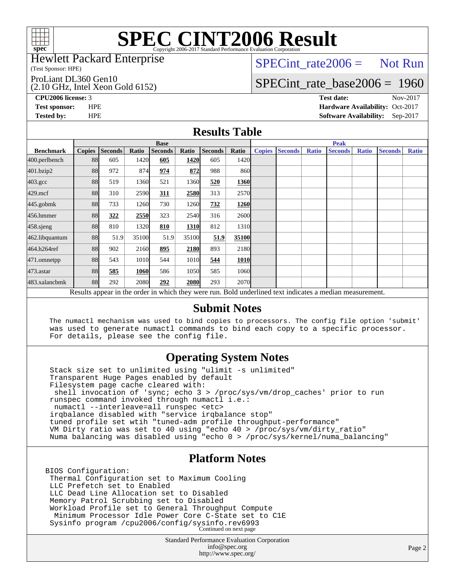

### Hewlett Packard Enterprise

(Test Sponsor: HPE)

ProLiant DL360 Gen10

(2.10 GHz, Intel Xeon Gold 6152)

 $SPECTnt_rate2006 = Not Run$ 

# [SPECint\\_rate\\_base2006 =](http://www.spec.org/auto/cpu2006/Docs/result-fields.html#SPECintratebase2006) 1960

**[CPU2006 license:](http://www.spec.org/auto/cpu2006/Docs/result-fields.html#CPU2006license)** 3 **[Test date:](http://www.spec.org/auto/cpu2006/Docs/result-fields.html#Testdate)** Nov-2017 **[Test sponsor:](http://www.spec.org/auto/cpu2006/Docs/result-fields.html#Testsponsor)** HPE **[Hardware Availability:](http://www.spec.org/auto/cpu2006/Docs/result-fields.html#HardwareAvailability)** Oct-2017 **[Tested by:](http://www.spec.org/auto/cpu2006/Docs/result-fields.html#Testedby)** HPE **[Software Availability:](http://www.spec.org/auto/cpu2006/Docs/result-fields.html#SoftwareAvailability)** Sep-2017

## **[Results Table](http://www.spec.org/auto/cpu2006/Docs/result-fields.html#ResultsTable)**

|                                                                                                          | <b>Base</b>   |                |       |                |       |                | <b>Peak</b>       |               |                |              |                |              |                |              |
|----------------------------------------------------------------------------------------------------------|---------------|----------------|-------|----------------|-------|----------------|-------------------|---------------|----------------|--------------|----------------|--------------|----------------|--------------|
| <b>Benchmark</b>                                                                                         | <b>Copies</b> | <b>Seconds</b> | Ratio | <b>Seconds</b> | Ratio | <b>Seconds</b> | Ratio             | <b>Copies</b> | <b>Seconds</b> | <b>Ratio</b> | <b>Seconds</b> | <b>Ratio</b> | <b>Seconds</b> | <b>Ratio</b> |
| 400.perlbench                                                                                            | 88            | 605            | 1420  | 605            | 1420  | 605            | 1420              |               |                |              |                |              |                |              |
| 401.bzip2                                                                                                | 88            | 972            | 874   | 974            | 872   | 988            | 860               |               |                |              |                |              |                |              |
| $403.\text{gcc}$                                                                                         | 88            | 519            | 1360  | 521            | 1360  | 520            | 1360              |               |                |              |                |              |                |              |
| $429$ .mcf                                                                                               | 88            | 310            | 2590  | 311            | 2580  | 313            | 2570              |               |                |              |                |              |                |              |
| $445$ .gobm $k$                                                                                          | 88            | 733            | 1260  | 730            | 1260  | 732            | 1260              |               |                |              |                |              |                |              |
| 456.hmmer                                                                                                | 88            | 322            | 2550  | 323            | 2540  | 316            | 2600l             |               |                |              |                |              |                |              |
| $458$ .sjeng                                                                                             | 88            | 810            | 1320  | 810            | 1310  | 812            | 1310              |               |                |              |                |              |                |              |
| 462.libquantum                                                                                           | 88            | 51.9           | 35100 | 51.9           | 35100 | 51.9           | 35100             |               |                |              |                |              |                |              |
| 464.h264ref                                                                                              | 88            | 902            | 2160  | 895            | 2180  | 893            | 2180              |               |                |              |                |              |                |              |
| 471.omnetpp                                                                                              | 88            | 543            | 1010  | 544            | 1010  | 544            | <b>1010</b>       |               |                |              |                |              |                |              |
| 473.astar                                                                                                | 88            | 585            | 1060  | 586            | 1050  | 585            | 1060              |               |                |              |                |              |                |              |
| 483.xalancbmk                                                                                            | 88            | 292            | 2080  | 292            | 2080  | 293            | 2070 <sub>l</sub> |               |                |              |                |              |                |              |
| Results appear in the order in which they were run. Bold underlined text indicates a median measurement. |               |                |       |                |       |                |                   |               |                |              |                |              |                |              |

### **[Submit Notes](http://www.spec.org/auto/cpu2006/Docs/result-fields.html#SubmitNotes)**

 The numactl mechanism was used to bind copies to processors. The config file option 'submit' was used to generate numactl commands to bind each copy to a specific processor. For details, please see the config file.

## **[Operating System Notes](http://www.spec.org/auto/cpu2006/Docs/result-fields.html#OperatingSystemNotes)**

 Stack size set to unlimited using "ulimit -s unlimited" Transparent Huge Pages enabled by default Filesystem page cache cleared with: shell invocation of 'sync; echo 3 > /proc/sys/vm/drop\_caches' prior to run runspec command invoked through numactl i.e.: numactl --interleave=all runspec <etc> irqbalance disabled with "service irqbalance stop" tuned profile set wtih "tuned-adm profile throughput-performance" VM Dirty ratio was set to 40 using "echo 40 > /proc/sys/vm/dirty\_ratio" Numa balancing was disabled using "echo 0 > /proc/sys/kernel/numa\_balancing"

## **[Platform Notes](http://www.spec.org/auto/cpu2006/Docs/result-fields.html#PlatformNotes)**

BIOS Configuration: Thermal Configuration set to Maximum Cooling LLC Prefetch set to Enabled LLC Dead Line Allocation set to Disabled Memory Patrol Scrubbing set to Disabled Workload Profile set to General Throughput Compute Minimum Processor Idle Power Core C-State set to C1E Sysinfo program /cpu2006/config/sysinfo.rev6993 Continued on next page

> Standard Performance Evaluation Corporation [info@spec.org](mailto:info@spec.org) <http://www.spec.org/>

Page 2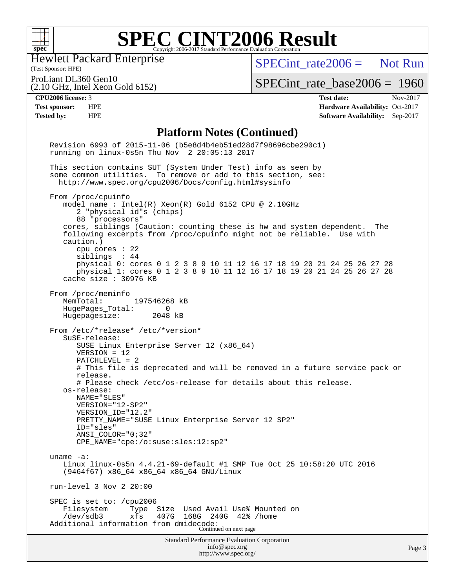

Hewlett Packard Enterprise

[SPECint\\_rate2006 =](http://www.spec.org/auto/cpu2006/Docs/result-fields.html#SPECintrate2006) Not Run

(Test Sponsor: HPE) ProLiant DL360 Gen10

(2.10 GHz, Intel Xeon Gold 6152)

[SPECint\\_rate\\_base2006 =](http://www.spec.org/auto/cpu2006/Docs/result-fields.html#SPECintratebase2006) 1960

**[CPU2006 license:](http://www.spec.org/auto/cpu2006/Docs/result-fields.html#CPU2006license)** 3 **[Test date:](http://www.spec.org/auto/cpu2006/Docs/result-fields.html#Testdate)** Nov-2017 **[Test sponsor:](http://www.spec.org/auto/cpu2006/Docs/result-fields.html#Testsponsor)** HPE **[Hardware Availability:](http://www.spec.org/auto/cpu2006/Docs/result-fields.html#HardwareAvailability)** Oct-2017 **[Tested by:](http://www.spec.org/auto/cpu2006/Docs/result-fields.html#Testedby)** HPE **[Software Availability:](http://www.spec.org/auto/cpu2006/Docs/result-fields.html#SoftwareAvailability)** Sep-2017

### **[Platform Notes \(Continued\)](http://www.spec.org/auto/cpu2006/Docs/result-fields.html#PlatformNotes)**

| Standard Performance Evaluation Corporation<br>info@spec.org<br>http://www.spec.org/                                                                                                                                                                                                                                                                                                                                                                                                            | Page 3 |
|-------------------------------------------------------------------------------------------------------------------------------------------------------------------------------------------------------------------------------------------------------------------------------------------------------------------------------------------------------------------------------------------------------------------------------------------------------------------------------------------------|--------|
| SPEC is set to: /cpu2006<br>Size Used Avail Use% Mounted on<br>Filesystem<br>Type<br>xfs<br>$/\text{dev/sdb3}$<br>407G<br>168G 240G<br>$42\%$ /home<br>Additional information from dmidecode:<br>Continued on next page                                                                                                                                                                                                                                                                         |        |
| run-level 3 Nov 2 20:00                                                                                                                                                                                                                                                                                                                                                                                                                                                                         |        |
| uname $-a$ :<br>Linux linux-0s5n 4.4.21-69-default #1 SMP Tue Oct 25 10:58:20 UTC 2016<br>(9464f67) x86_64 x86_64 x86_64 GNU/Linux                                                                                                                                                                                                                                                                                                                                                              |        |
| os-release:<br>NAME="SLES"<br>VERSION="12-SP2"<br>VERSION_ID="12.2"<br>PRETTY_NAME="SUSE Linux Enterprise Server 12 SP2"<br>ID="sles"<br>$ANSI\_COLOR = "0; 32"$<br>$CPE\_NAME = "cpe://o:suse: sles:12:sp2"$                                                                                                                                                                                                                                                                                   |        |
| From /etc/*release* /etc/*version*<br>SuSE-release:<br>SUSE Linux Enterprise Server 12 (x86_64)<br>$VERSION = 12$<br>PATCHLEVEL = 2<br># This file is deprecated and will be removed in a future service pack or<br>release.<br># Please check /etc/os-release for details about this release.                                                                                                                                                                                                  |        |
| From /proc/meminfo<br>MemTotal:<br>197546268 kB<br>HugePages_Total:<br>0<br>Hugepagesize: 2048 kB                                                                                                                                                                                                                                                                                                                                                                                               |        |
| model name : Intel(R) Xeon(R) Gold 6152 CPU @ 2.10GHz<br>2 "physical id"s (chips)<br>88 "processors"<br>cores, siblings (Caution: counting these is hw and system dependent.<br>The<br>following excerpts from /proc/cpuinfo might not be reliable. Use with<br>caution.)<br>cpu cores $: 22$<br>siblings : 44<br>physical 0: cores 0 1 2 3 8 9 10 11 12 16 17 18 19 20 21 24 25 26 27 28<br>physical 1: cores 0 1 2 3 8 9 10 11 12 16 17 18 19 20 21 24 25 26 27 28<br>cache size $: 30976$ KB |        |
| some common utilities. To remove or add to this section, see:<br>http://www.spec.org/cpu2006/Docs/config.html#sysinfo<br>From /proc/cpuinfo                                                                                                                                                                                                                                                                                                                                                     |        |
| This section contains SUT (System Under Test) info as seen by                                                                                                                                                                                                                                                                                                                                                                                                                                   |        |
| Revision 6993 of 2015-11-06 (b5e8d4b4eb51ed28d7f98696cbe290c1)<br>running on linux-0s5n Thu Nov 2 20:05:13 2017                                                                                                                                                                                                                                                                                                                                                                                 |        |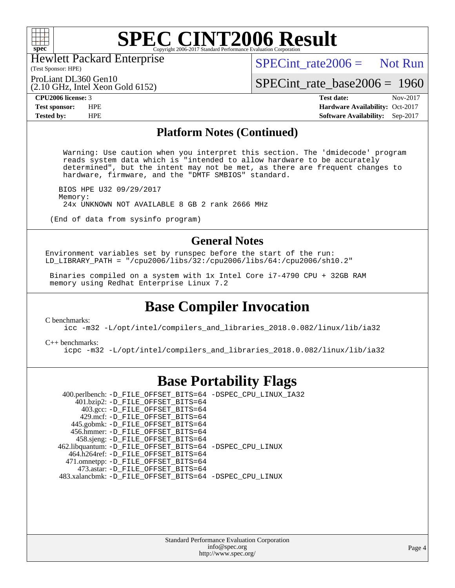

(Test Sponsor: HPE) Hewlett Packard Enterprise

(2.10 GHz, Intel Xeon Gold 6152)

 $SPECint rate2006 =$  Not Run

ProLiant DL360 Gen10

[SPECint\\_rate\\_base2006 =](http://www.spec.org/auto/cpu2006/Docs/result-fields.html#SPECintratebase2006) 1960

**[CPU2006 license:](http://www.spec.org/auto/cpu2006/Docs/result-fields.html#CPU2006license)** 3 **[Test date:](http://www.spec.org/auto/cpu2006/Docs/result-fields.html#Testdate)** Nov-2017 **[Test sponsor:](http://www.spec.org/auto/cpu2006/Docs/result-fields.html#Testsponsor)** HPE **[Hardware Availability:](http://www.spec.org/auto/cpu2006/Docs/result-fields.html#HardwareAvailability)** Oct-2017 **[Tested by:](http://www.spec.org/auto/cpu2006/Docs/result-fields.html#Testedby)** HPE **[Software Availability:](http://www.spec.org/auto/cpu2006/Docs/result-fields.html#SoftwareAvailability)** Sep-2017

### **[Platform Notes \(Continued\)](http://www.spec.org/auto/cpu2006/Docs/result-fields.html#PlatformNotes)**

 Warning: Use caution when you interpret this section. The 'dmidecode' program reads system data which is "intended to allow hardware to be accurately determined", but the intent may not be met, as there are frequent changes to hardware, firmware, and the "DMTF SMBIOS" standard.

 BIOS HPE U32 09/29/2017 Memory: 24x UNKNOWN NOT AVAILABLE 8 GB 2 rank 2666 MHz

(End of data from sysinfo program)

### **[General Notes](http://www.spec.org/auto/cpu2006/Docs/result-fields.html#GeneralNotes)**

Environment variables set by runspec before the start of the run: LD\_LIBRARY\_PATH = "/cpu2006/libs/32:/cpu2006/libs/64:/cpu2006/sh10.2"

 Binaries compiled on a system with 1x Intel Core i7-4790 CPU + 32GB RAM memory using Redhat Enterprise Linux 7.2

# **[Base Compiler Invocation](http://www.spec.org/auto/cpu2006/Docs/result-fields.html#BaseCompilerInvocation)**

[C benchmarks](http://www.spec.org/auto/cpu2006/Docs/result-fields.html#Cbenchmarks):

[icc -m32 -L/opt/intel/compilers\\_and\\_libraries\\_2018.0.082/linux/lib/ia32](http://www.spec.org/cpu2006/results/res2017q4/cpu2006-20171114-50643.flags.html#user_CCbase_intel_icc_355c401af4d5dc87e09103a6bbcae1c6)

[C++ benchmarks:](http://www.spec.org/auto/cpu2006/Docs/result-fields.html#CXXbenchmarks) [icpc -m32 -L/opt/intel/compilers\\_and\\_libraries\\_2018.0.082/linux/lib/ia32](http://www.spec.org/cpu2006/results/res2017q4/cpu2006-20171114-50643.flags.html#user_CXXbase_intel_icpc_b34a6f497613b30bc6bf10051974f22f)

## **[Base Portability Flags](http://www.spec.org/auto/cpu2006/Docs/result-fields.html#BasePortabilityFlags)**

 400.perlbench: [-D\\_FILE\\_OFFSET\\_BITS=64](http://www.spec.org/cpu2006/results/res2017q4/cpu2006-20171114-50643.flags.html#user_basePORTABILITY400_perlbench_file_offset_bits_64_438cf9856305ebd76870a2c6dc2689ab) [-DSPEC\\_CPU\\_LINUX\\_IA32](http://www.spec.org/cpu2006/results/res2017q4/cpu2006-20171114-50643.flags.html#b400.perlbench_baseCPORTABILITY_DSPEC_CPU_LINUX_IA32) 401.bzip2: [-D\\_FILE\\_OFFSET\\_BITS=64](http://www.spec.org/cpu2006/results/res2017q4/cpu2006-20171114-50643.flags.html#user_basePORTABILITY401_bzip2_file_offset_bits_64_438cf9856305ebd76870a2c6dc2689ab) 403.gcc: [-D\\_FILE\\_OFFSET\\_BITS=64](http://www.spec.org/cpu2006/results/res2017q4/cpu2006-20171114-50643.flags.html#user_basePORTABILITY403_gcc_file_offset_bits_64_438cf9856305ebd76870a2c6dc2689ab) 429.mcf: [-D\\_FILE\\_OFFSET\\_BITS=64](http://www.spec.org/cpu2006/results/res2017q4/cpu2006-20171114-50643.flags.html#user_basePORTABILITY429_mcf_file_offset_bits_64_438cf9856305ebd76870a2c6dc2689ab) 445.gobmk: [-D\\_FILE\\_OFFSET\\_BITS=64](http://www.spec.org/cpu2006/results/res2017q4/cpu2006-20171114-50643.flags.html#user_basePORTABILITY445_gobmk_file_offset_bits_64_438cf9856305ebd76870a2c6dc2689ab) 456.hmmer: [-D\\_FILE\\_OFFSET\\_BITS=64](http://www.spec.org/cpu2006/results/res2017q4/cpu2006-20171114-50643.flags.html#user_basePORTABILITY456_hmmer_file_offset_bits_64_438cf9856305ebd76870a2c6dc2689ab) 458.sjeng: [-D\\_FILE\\_OFFSET\\_BITS=64](http://www.spec.org/cpu2006/results/res2017q4/cpu2006-20171114-50643.flags.html#user_basePORTABILITY458_sjeng_file_offset_bits_64_438cf9856305ebd76870a2c6dc2689ab) 462.libquantum: [-D\\_FILE\\_OFFSET\\_BITS=64](http://www.spec.org/cpu2006/results/res2017q4/cpu2006-20171114-50643.flags.html#user_basePORTABILITY462_libquantum_file_offset_bits_64_438cf9856305ebd76870a2c6dc2689ab) [-DSPEC\\_CPU\\_LINUX](http://www.spec.org/cpu2006/results/res2017q4/cpu2006-20171114-50643.flags.html#b462.libquantum_baseCPORTABILITY_DSPEC_CPU_LINUX) 464.h264ref: [-D\\_FILE\\_OFFSET\\_BITS=64](http://www.spec.org/cpu2006/results/res2017q4/cpu2006-20171114-50643.flags.html#user_basePORTABILITY464_h264ref_file_offset_bits_64_438cf9856305ebd76870a2c6dc2689ab) 471.omnetpp: [-D\\_FILE\\_OFFSET\\_BITS=64](http://www.spec.org/cpu2006/results/res2017q4/cpu2006-20171114-50643.flags.html#user_basePORTABILITY471_omnetpp_file_offset_bits_64_438cf9856305ebd76870a2c6dc2689ab) 473.astar: [-D\\_FILE\\_OFFSET\\_BITS=64](http://www.spec.org/cpu2006/results/res2017q4/cpu2006-20171114-50643.flags.html#user_basePORTABILITY473_astar_file_offset_bits_64_438cf9856305ebd76870a2c6dc2689ab) 483.xalancbmk: [-D\\_FILE\\_OFFSET\\_BITS=64](http://www.spec.org/cpu2006/results/res2017q4/cpu2006-20171114-50643.flags.html#user_basePORTABILITY483_xalancbmk_file_offset_bits_64_438cf9856305ebd76870a2c6dc2689ab) [-DSPEC\\_CPU\\_LINUX](http://www.spec.org/cpu2006/results/res2017q4/cpu2006-20171114-50643.flags.html#b483.xalancbmk_baseCXXPORTABILITY_DSPEC_CPU_LINUX)

> Standard Performance Evaluation Corporation [info@spec.org](mailto:info@spec.org) <http://www.spec.org/>